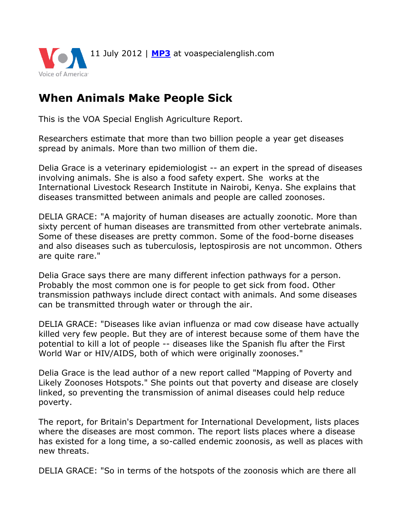

## **When Animals Make People Sick**

This is the VOA Special English Agriculture Report.

Researchers estimate that more than two billion people a year get diseases spread by animals. More than two million of them die.

Delia Grace is a veterinary epidemiologist -- an expert in the spread of diseases involving animals. She is also a food safety expert. She works at the International Livestock Research Institute in Nairobi, Kenya. She explains that diseases transmitted between animals and people are called zoonoses.

DELIA GRACE: "A majority of human diseases are actually zoonotic. More than sixty percent of human diseases are transmitted from other vertebrate animals. Some of these diseases are pretty common. Some of the food-borne diseases and also diseases such as tuberculosis, leptospirosis are not uncommon. Others are quite rare."

Delia Grace says there are many different infection pathways for a person. Probably the most common one is for people to get sick from food. Other transmission pathways include direct contact with animals. And some diseases can be transmitted through water or through the air.

DELIA GRACE: "Diseases like avian influenza or mad cow disease have actually killed very few people. But they are of interest because some of them have the potential to kill a lot of people -- diseases like the Spanish flu after the First World War or HIV/AIDS, both of which were originally zoonoses."

Delia Grace is the lead author of a new report called "Mapping of Poverty and Likely Zoonoses Hotspots." She points out that poverty and disease are closely linked, so preventing the transmission of animal diseases could help reduce poverty.

The report, for Britain's Department for International Development, lists places where the diseases are most common. The report lists places where a disease has existed for a long time, a so-called endemic zoonosis, as well as places with new threats.

DELIA GRACE: "So in terms of the hotspots of the zoonosis which are there all